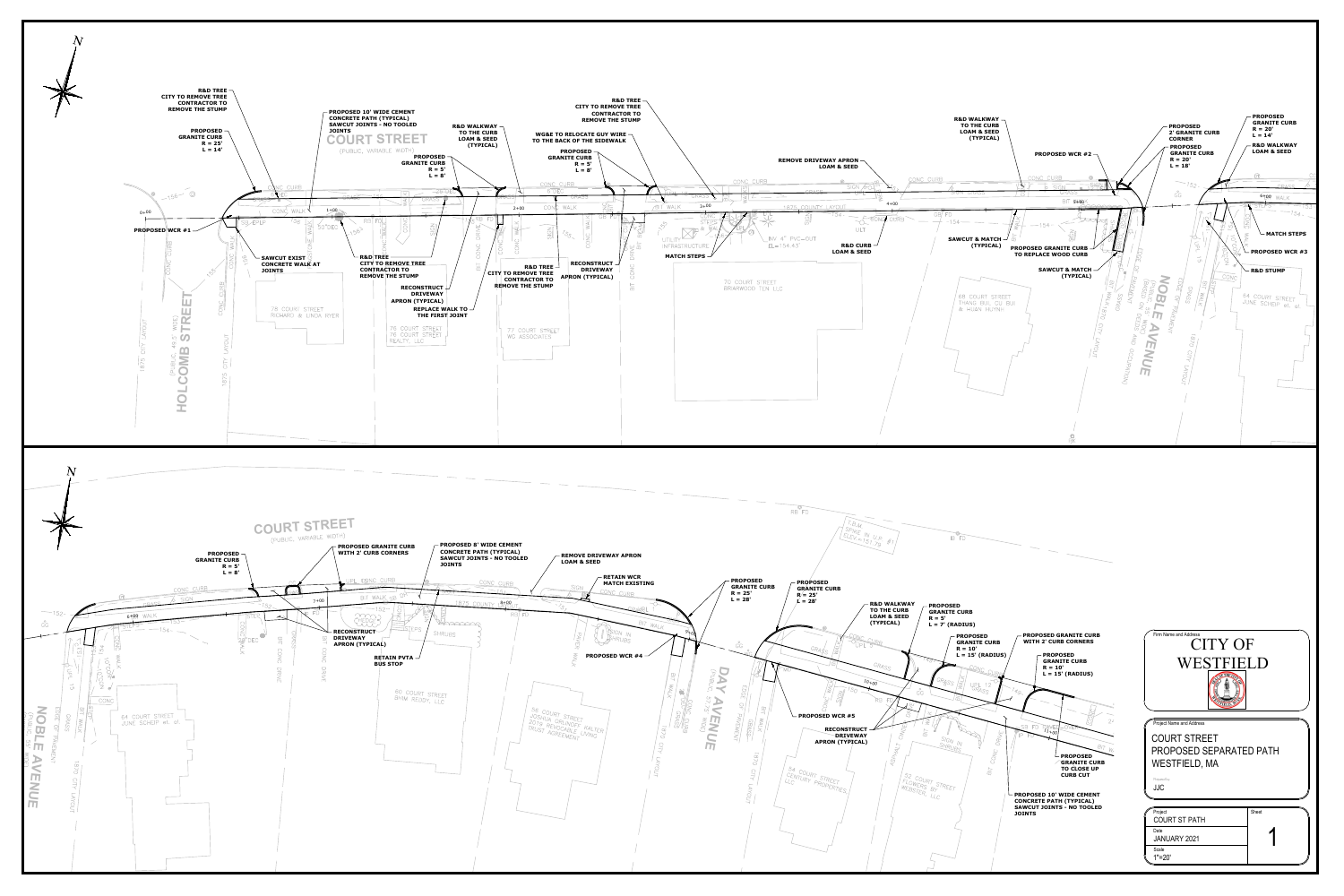